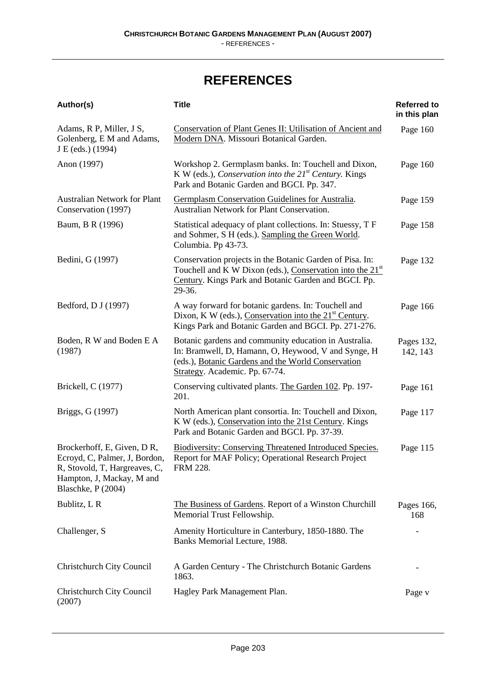## **REFERENCES**

| Author(s)                                                                                                                                       | <b>Title</b>                                                                                                                                                                                         | <b>Referred to</b><br>in this plan |
|-------------------------------------------------------------------------------------------------------------------------------------------------|------------------------------------------------------------------------------------------------------------------------------------------------------------------------------------------------------|------------------------------------|
| Adams, R P, Miller, J S,<br>Golenberg, E M and Adams,<br>J E (eds.) (1994)                                                                      | <b>Conservation of Plant Genes II: Utilisation of Ancient and</b><br>Modern DNA. Missouri Botanical Garden.                                                                                          | Page 160                           |
| Anon (1997)                                                                                                                                     | Workshop 2. Germplasm banks. In: Touchell and Dixon,<br>K W (eds.), Conservation into the $21^{st}$ Century. Kings<br>Park and Botanic Garden and BGCI. Pp. 347.                                     | Page 160                           |
| Australian Network for Plant<br>Conservation (1997)                                                                                             | Germplasm Conservation Guidelines for Australia.<br><b>Australian Network for Plant Conservation.</b>                                                                                                | Page 159                           |
| Baum, B R (1996)                                                                                                                                | Statistical adequacy of plant collections. In: Stuessy, T F<br>and Sohmer, S H (eds.). Sampling the Green World.<br>Columbia. Pp 43-73.                                                              | Page 158                           |
| Bedini, G (1997)                                                                                                                                | Conservation projects in the Botanic Garden of Pisa. In:<br>Touchell and K W Dixon (eds.), Conservation into the 21 <sup>st</sup><br>Century. Kings Park and Botanic Garden and BGCI. Pp.<br>29-36.  | Page 132                           |
| Bedford, D J (1997)                                                                                                                             | A way forward for botanic gardens. In: Touchell and<br>Dixon, K W (eds.), Conservation into the $21st$ Century.<br>Kings Park and Botanic Garden and BGCI. Pp. 271-276.                              | Page 166                           |
| Boden, R W and Boden E A<br>(1987)                                                                                                              | Botanic gardens and community education in Australia.<br>In: Bramwell, D, Hamann, O, Heywood, V and Synge, H<br>(eds.), Botanic Gardens and the World Conservation<br>Strategy. Academic. Pp. 67-74. | Pages 132,<br>142, 143             |
| Brickell, C (1977)                                                                                                                              | Conserving cultivated plants. The Garden 102. Pp. 197-<br>201.                                                                                                                                       | Page 161                           |
| Briggs, G (1997)                                                                                                                                | North American plant consortia. In: Touchell and Dixon,<br>K W (eds.), Conservation into the 21st Century. Kings<br>Park and Botanic Garden and BGCI. Pp. 37-39.                                     | Page 117                           |
| Brockerhoff, E, Given, DR,<br>Ecroyd, C, Palmer, J, Bordon,<br>R, Stovold, T, Hargreaves, C,<br>Hampton, J, Mackay, M and<br>Blaschke, P (2004) | <b>Biodiversity: Conserving Threatened Introduced Species.</b><br>Report for MAF Policy; Operational Research Project<br>FRM 228.                                                                    | Page 115                           |
| Bublitz, L R                                                                                                                                    | The Business of Gardens. Report of a Winston Churchill<br>Memorial Trust Fellowship.                                                                                                                 | Pages 166,<br>168                  |
| Challenger, S                                                                                                                                   | Amenity Horticulture in Canterbury, 1850-1880. The<br>Banks Memorial Lecture, 1988.                                                                                                                  |                                    |
| Christchurch City Council                                                                                                                       | A Garden Century - The Christchurch Botanic Gardens<br>1863.                                                                                                                                         |                                    |
| Christchurch City Council<br>(2007)                                                                                                             | Hagley Park Management Plan.                                                                                                                                                                         | Page v                             |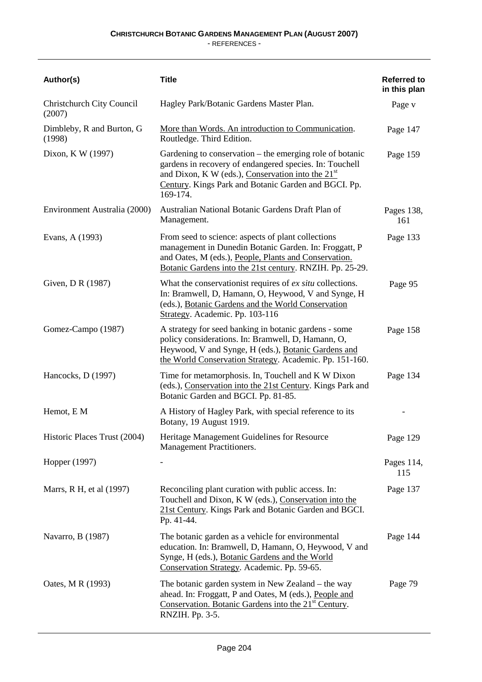- REFERENCES -

| Author(s)                           | <b>Title</b>                                                                                                                                                                                                                                   | <b>Referred to</b><br>in this plan |
|-------------------------------------|------------------------------------------------------------------------------------------------------------------------------------------------------------------------------------------------------------------------------------------------|------------------------------------|
| Christchurch City Council<br>(2007) | Hagley Park/Botanic Gardens Master Plan.                                                                                                                                                                                                       | Page v                             |
| Dimbleby, R and Burton, G<br>(1998) | More than Words. An introduction to Communication.<br>Routledge. Third Edition.                                                                                                                                                                | Page 147                           |
| Dixon, K W (1997)                   | Gardening to conservation – the emerging role of botanic<br>gardens in recovery of endangered species. In: Touchell<br>and Dixon, K W (eds.), Conservation into the $21st$<br>Century. Kings Park and Botanic Garden and BGCI. Pp.<br>169-174. | Page 159                           |
| Environment Australia (2000)        | Australian National Botanic Gardens Draft Plan of<br>Management.                                                                                                                                                                               | Pages 138,<br>161                  |
| Evans, A (1993)                     | From seed to science: aspects of plant collections<br>management in Dunedin Botanic Garden. In: Froggatt, P<br>and Oates, M (eds.), People, Plants and Conservation.<br>Botanic Gardens into the 21st century. RNZIH. Pp. 25-29.               | Page 133                           |
| Given, D R (1987)                   | What the conservation ist requires of <i>ex situ</i> collections.<br>In: Bramwell, D, Hamann, O, Heywood, V and Synge, H<br>(eds.), Botanic Gardens and the World Conservation<br>Strategy. Academic. Pp. 103-116                              | Page 95                            |
| Gomez-Campo (1987)                  | A strategy for seed banking in botanic gardens - some<br>policy considerations. In: Bramwell, D, Hamann, O,<br>Heywood, V and Synge, H (eds.), Botanic Gardens and<br>the World Conservation Strategy. Academic. Pp. 151-160.                  | Page 158                           |
| Hancocks, D (1997)                  | Time for metamorphosis. In, Touchell and K W Dixon<br>(eds.), Conservation into the 21st Century. Kings Park and<br>Botanic Garden and BGCI. Pp. 81-85.                                                                                        | Page 134                           |
| Hemot, E M                          | A History of Hagley Park, with special reference to its<br>Botany, 19 August 1919.                                                                                                                                                             |                                    |
| Historic Places Trust (2004)        | Heritage Management Guidelines for Resource<br>Management Practitioners.                                                                                                                                                                       | Page 129                           |
| Hopper (1997)                       |                                                                                                                                                                                                                                                | Pages 114,<br>115                  |
| Marrs, R H, et al (1997)            | Reconciling plant curation with public access. In:<br>Touchell and Dixon, K W (eds.), Conservation into the<br>21st Century. Kings Park and Botanic Garden and BGCI.<br>Pp. 41-44.                                                             | Page 137                           |
| Navarro, B (1987)                   | The botanic garden as a vehicle for environmental<br>education. In: Bramwell, D, Hamann, O, Heywood, V and<br>Synge, H (eds.), Botanic Gardens and the World<br>Conservation Strategy. Academic. Pp. 59-65.                                    | Page 144                           |
| Oates, M R (1993)                   | The botanic garden system in New Zealand – the way<br>ahead. In: Froggatt, P and Oates, M (eds.), People and<br>Conservation. Botanic Gardens into the 21 <sup>st</sup> Century.<br>RNZIH. Pp. 3-5.                                            | Page 79                            |